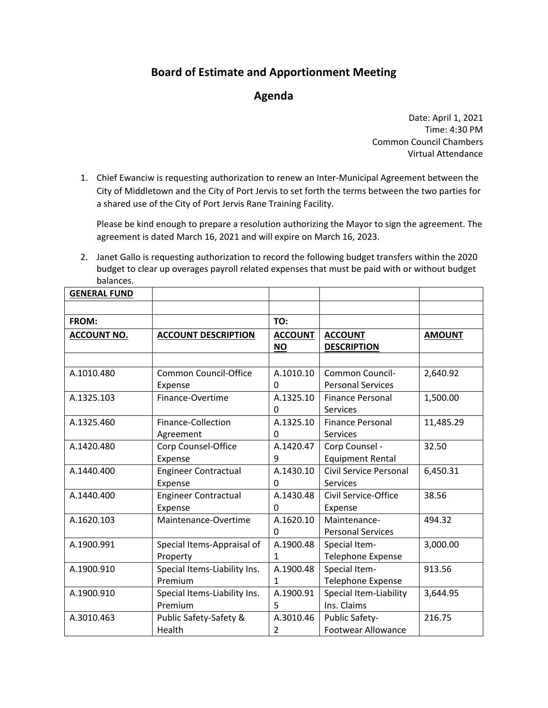## **Board of Estimate and Apportionment Meeting**

## **Agenda**

Date: April 1, 2021 Time: 4:30 PM Common Council Chambers Virtual Attendance

1. Chief Ewanciw is requesting authorization to renew an Inter-Municipal Agreement between the City of Middletown and the City of Port Jervis to set forth the terms between the two parties for a shared use of the City of Port Jervis Rane Training Facility.

Please be kind enough to prepare a resolution authorizing the Mayor to sign the agreement. The agreement is dated March 16, 2021 and will expire on March 16, 2023.

2. Janet Gallo is requesting authorization to record the following budget transfers within the 2020 budget to clear up overages payroll related expenses that must be paid with or without budget balances.

| palances.           |                              |                             |                                      |               |
|---------------------|------------------------------|-----------------------------|--------------------------------------|---------------|
| <b>GENERAL FUND</b> |                              |                             |                                      |               |
|                     |                              |                             |                                      |               |
| FROM:               |                              | TO:                         |                                      |               |
| <b>ACCOUNT NO.</b>  | <b>ACCOUNT DESCRIPTION</b>   | <b>ACCOUNT</b><br><b>NO</b> | <b>ACCOUNT</b><br><b>DESCRIPTION</b> | <b>AMOUNT</b> |
|                     |                              |                             |                                      |               |
| A.1010.480          | <b>Common Council-Office</b> | A.1010.10                   | Common Council-                      | 2,640.92      |
|                     | Expense                      | 0                           | <b>Personal Services</b>             |               |
| A.1325.103          | Finance-Overtime             | A.1325.10                   | <b>Finance Personal</b>              | 1,500.00      |
|                     |                              | $\Omega$                    | Services                             |               |
| A.1325.460          | Finance-Collection           | A.1325.10                   | <b>Finance Personal</b>              | 11,485.29     |
|                     | Agreement                    | $\Omega$                    | Services                             |               |
| A.1420.480          | Corp Counsel-Office          | A.1420.47                   | Corp Counsel -                       | 32.50         |
|                     | Expense                      | 9                           | <b>Equipment Rental</b>              |               |
| A.1440.400          | <b>Engineer Contractual</b>  | A.1430.10                   | Civil Service Personal               | 6,450.31      |
|                     | Expense                      | $\Omega$                    | <b>Services</b>                      |               |
| A.1440.400          | <b>Engineer Contractual</b>  | A.1430.48                   | Civil Service-Office                 | 38.56         |
|                     | Expense                      | $\Omega$                    | Expense                              |               |
| A.1620.103          | Maintenance-Overtime         | A.1620.10                   | Maintenance-                         | 494.32        |
|                     |                              | $\Omega$                    | <b>Personal Services</b>             |               |
| A.1900.991          | Special Items-Appraisal of   | A.1900.48                   | Special Item-                        | 3,000.00      |
|                     | Property                     | 1                           | <b>Telephone Expense</b>             |               |
| A.1900.910          | Special Items-Liability Ins. | A.1900.48                   | Special Item-                        | 913.56        |
|                     | Premium                      | 1                           | <b>Telephone Expense</b>             |               |
| A.1900.910          | Special Items-Liability Ins. | A.1900.91                   | Special Item-Liability               | 3,644.95      |
|                     | Premium                      | 5                           | Ins. Claims                          |               |
| A.3010.463          | Public Safety-Safety &       | A.3010.46                   | Public Safety-                       | 216.75        |
|                     | Health                       | 2                           | <b>Footwear Allowance</b>            |               |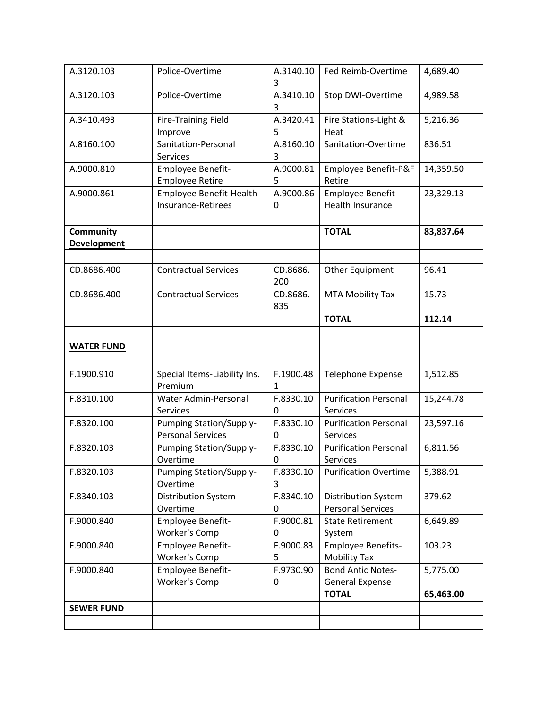| A.3120.103                             | Police-Overtime                                            | A.3140.10<br>3  | Fed Reimb-Overtime                                 | 4,689.40  |
|----------------------------------------|------------------------------------------------------------|-----------------|----------------------------------------------------|-----------|
| A.3120.103                             | Police-Overtime                                            | A.3410.10<br>3  | Stop DWI-Overtime                                  | 4,989.58  |
| A.3410.493                             | <b>Fire-Training Field</b><br>Improve                      | A.3420.41<br>5  | Fire Stations-Light &<br>Heat                      | 5,216.36  |
| A.8160.100                             | Sanitation-Personal<br><b>Services</b>                     | A.8160.10<br>3  | Sanitation-Overtime                                | 836.51    |
| A.9000.810                             | Employee Benefit-<br><b>Employee Retire</b>                | A.9000.81<br>5  | Employee Benefit-P&F<br>Retire                     | 14,359.50 |
| A.9000.861                             | Employee Benefit-Health<br>Insurance-Retirees              | A.9000.86<br>0  | Employee Benefit -<br>Health Insurance             | 23,329.13 |
| <b>Community</b><br><b>Development</b> |                                                            |                 | <b>TOTAL</b>                                       | 83,837.64 |
| CD.8686.400                            | <b>Contractual Services</b>                                | CD.8686.<br>200 | Other Equipment                                    | 96.41     |
| CD.8686.400                            | <b>Contractual Services</b>                                | CD.8686.<br>835 | <b>MTA Mobility Tax</b>                            | 15.73     |
|                                        |                                                            |                 | <b>TOTAL</b>                                       | 112.14    |
| <b>WATER FUND</b>                      |                                                            |                 |                                                    |           |
| F.1900.910                             | Special Items-Liability Ins.<br>Premium                    | F.1900.48<br>1  | <b>Telephone Expense</b>                           | 1,512.85  |
| F.8310.100                             | Water Admin-Personal<br>Services                           | F.8330.10<br>0  | <b>Purification Personal</b><br><b>Services</b>    | 15,244.78 |
| F.8320.100                             | <b>Pumping Station/Supply-</b><br><b>Personal Services</b> | F.8330.10<br>0  | <b>Purification Personal</b><br>Services           | 23,597.16 |
| F.8320.103                             | <b>Pumping Station/Supply-</b><br>Overtime                 | F.8330.10<br>0  | <b>Purification Personal</b><br>Services           | 6,811.56  |
| F.8320.103                             | <b>Pumping Station/Supply-</b><br>Overtime                 | F.8330.10<br>3  | <b>Purification Overtime</b>                       | 5,388.91  |
| F.8340.103                             | Distribution System-<br>Overtime                           | F.8340.10<br>0  | Distribution System-<br><b>Personal Services</b>   | 379.62    |
| F.9000.840                             | Employee Benefit-<br>Worker's Comp                         | F.9000.81<br>0  | <b>State Retirement</b><br>System                  | 6,649.89  |
| F.9000.840                             | Employee Benefit-<br>Worker's Comp                         | F.9000.83<br>5  | <b>Employee Benefits-</b><br><b>Mobility Tax</b>   | 103.23    |
| F.9000.840                             | Employee Benefit-<br>Worker's Comp                         | F.9730.90<br>0  | <b>Bond Antic Notes-</b><br><b>General Expense</b> | 5,775.00  |
|                                        |                                                            |                 | <b>TOTAL</b>                                       | 65,463.00 |
| <b>SEWER FUND</b>                      |                                                            |                 |                                                    |           |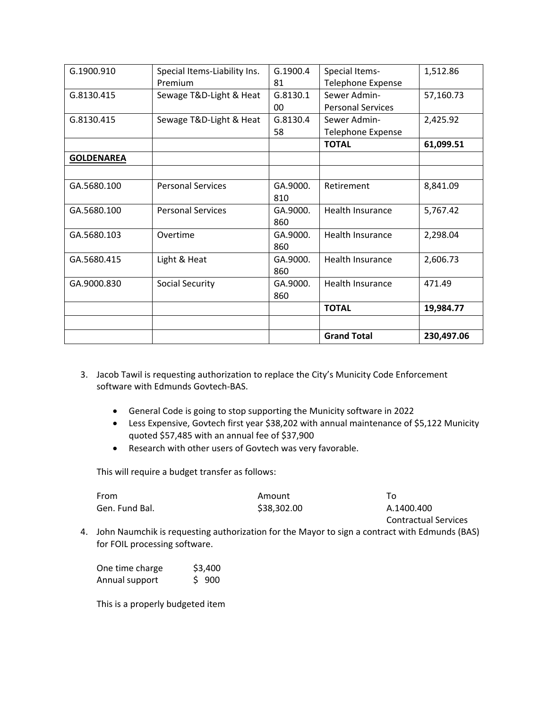|                   |                              |                 | <b>Grand Total</b>       | 230,497.06 |
|-------------------|------------------------------|-----------------|--------------------------|------------|
|                   |                              |                 |                          |            |
|                   |                              |                 | <b>TOTAL</b>             | 19,984.77  |
|                   |                              | 860             |                          |            |
| GA.9000.830       | Social Security              | 860<br>GA.9000. | Health Insurance         | 471.49     |
| GA.5680.415       | Light & Heat                 | GA.9000.        | Health Insurance         | 2,606.73   |
|                   |                              | 860             |                          |            |
| GA.5680.103       | Overtime                     | 860<br>GA.9000. | <b>Health Insurance</b>  | 2,298.04   |
| GA.5680.100       | <b>Personal Services</b>     | GA.9000.        | Health Insurance         | 5,767.42   |
|                   |                              | 810             |                          |            |
| GA.5680.100       | <b>Personal Services</b>     | GA.9000.        | Retirement               | 8,841.09   |
|                   |                              |                 |                          |            |
| <b>GOLDENAREA</b> |                              |                 |                          |            |
|                   |                              |                 | <b>TOTAL</b>             | 61,099.51  |
|                   |                              | 58              | <b>Telephone Expense</b> |            |
| G.8130.415        | Sewage T&D-Light & Heat      | G.8130.4        | Sewer Admin-             | 2,425.92   |
|                   |                              | 00 <sup>1</sup> | <b>Personal Services</b> |            |
| G.8130.415        | Sewage T&D-Light & Heat      | G.8130.1        | Sewer Admin-             | 57,160.73  |
|                   | Premium                      | 81              | <b>Telephone Expense</b> |            |
| G.1900.910        | Special Items-Liability Ins. | G.1900.4        | Special Items-           | 1,512.86   |

- 3. Jacob Tawil is requesting authorization to replace the City's Municity Code Enforcement software with Edmunds Govtech‐BAS.
	- General Code is going to stop supporting the Municity software in 2022
	- Less Expensive, Govtech first year \$38,202 with annual maintenance of \$5,122 Municity quoted \$57,485 with an annual fee of \$37,900
	- Research with other users of Govtech was very favorable.

This will require a budget transfer as follows:

| From           | Amount      | ⊤о                          |
|----------------|-------------|-----------------------------|
| Gen. Fund Bal. | \$38,302.00 | A.1400.400                  |
|                |             | <b>Contractual Services</b> |

4. John Naumchik is requesting authorization for the Mayor to sign a contract with Edmunds (BAS) for FOIL processing software.

| One time charge | \$3,400 |
|-----------------|---------|
| Annual support  | \$900   |

This is a properly budgeted item